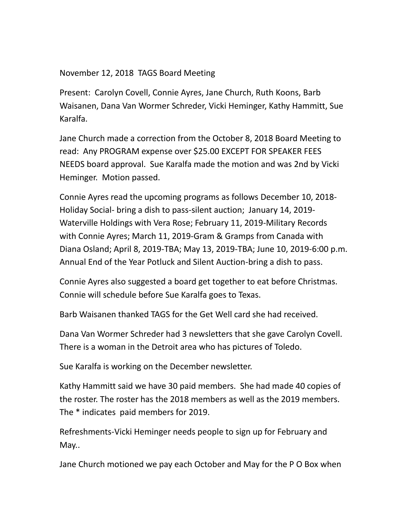November 12, 2018 TAGS Board Meeting

Present: Carolyn Covell, Connie Ayres, Jane Church, Ruth Koons, Barb Waisanen, Dana Van Wormer Schreder, Vicki Heminger, Kathy Hammitt, Sue Karalfa.

Jane Church made a correction from the October 8, 2018 Board Meeting to read: Any PROGRAM expense over \$25.00 EXCEPT FOR SPEAKER FEES NEEDS board approval. Sue Karalfa made the motion and was 2nd by Vicki Heminger. Motion passed.

Connie Ayres read the upcoming programs as follows December 10, 2018- Holiday Social- bring a dish to pass-silent auction; January 14, 2019- Waterville Holdings with Vera Rose; February 11, 2019-Military Records with Connie Ayres; March 11, 2019-Gram & Gramps from Canada with Diana Osland; April 8, 2019-TBA; May 13, 2019-TBA; June 10, 2019-6:00 p.m. Annual End of the Year Potluck and Silent Auction-bring a dish to pass.

Connie Ayres also suggested a board get together to eat before Christmas. Connie will schedule before Sue Karalfa goes to Texas.

Barb Waisanen thanked TAGS for the Get Well card she had received.

Dana Van Wormer Schreder had 3 newsletters that she gave Carolyn Covell. There is a woman in the Detroit area who has pictures of Toledo.

Sue Karalfa is working on the December newsletter.

Kathy Hammitt said we have 30 paid members. She had made 40 copies of the roster. The roster has the 2018 members as well as the 2019 members. The \* indicates paid members for 2019.

Refreshments-Vicki Heminger needs people to sign up for February and May..

Jane Church motioned we pay each October and May for the P O Box when